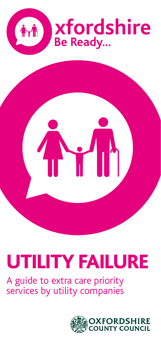

# UTILITY FAILURE

A guide to extra care priority services by utility companies

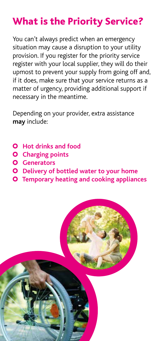# What is the Priority Service?

You can't always predict when an emergency situation may cause a disruption to your utility provision. If you register for the priority service register with your local supplier, they will do their upmost to prevent your supply from going off and, if it does, make sure that your service returns as a matter of urgency, providing additional support if necessary in the meantime.

Depending on your provider, extra assistance **may** include:

- **Q** Hot drinks and food
- **Charging points**
- **Generators**
- **Delivery of bottled water to your home**
- **Temporary heating and cooking appliances**

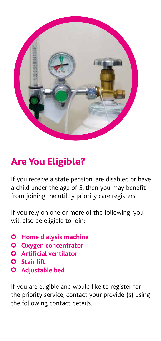

# Are You Eligible?

If you receive a state pension, are disabled or have a child under the age of 5, then you may benefit from joining the utility priority care registers.

If you rely on one or more of the following, you will also be eligible to join:

- **Home dialysis machine**
- **Oxygen concentrator**
- **Artificial ventilator**
- **Stair lift**
- **Adjustable bed**

If you are eligible and would like to register for the priority service, contact your provider(s) using the following contact details.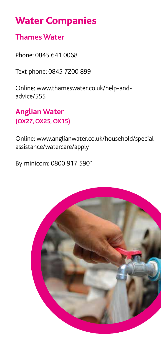## Water Companies

#### **Thames Water**

Phone: 0845 641 0068

Text phone: 0845 7200 899

Online: www.thameswater.co.uk/help-andadvice/555

### **Anglian Water (OX27, OX25, OX15)**

Online: www.anglianwater.co.uk/household/specialassistance/watercare/apply

By minicom: 0800 917 5901

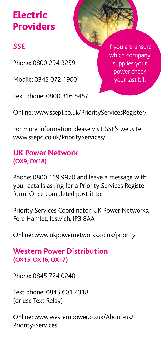# Electric **Providers**

## **SSE**

Phone: 0800 294 3259

Mobile: 0345 072 1900

Text phone: 0800 316 5457

If you are unsure which company supplies your power check your last bill

Online: www.ssepf.co.uk/PriorityServicesRegister/

For more information please visit SSE's website: www.ssepd.co.uk/PriorityServices/

#### **UK Power Network (OX9, OX18)**

Phone: 0800 169 9970 and leave a message with your details asking for a Priority Services Register form. Once completed post it to:

Priority Services Coordinator, UK Power Networks, Fore Hamlet, Ipswich, IP3 8AA

Online: www.ukpowernetworks.co.uk/priority

#### **Western Power Distribution (OX15, OX16, OX17)**

Phone: 0845 724 0240

Text phone: 0845 601 2318 (or use Text Relay)

Online: www.westernpower.co.uk/About-us/ Priority-Services